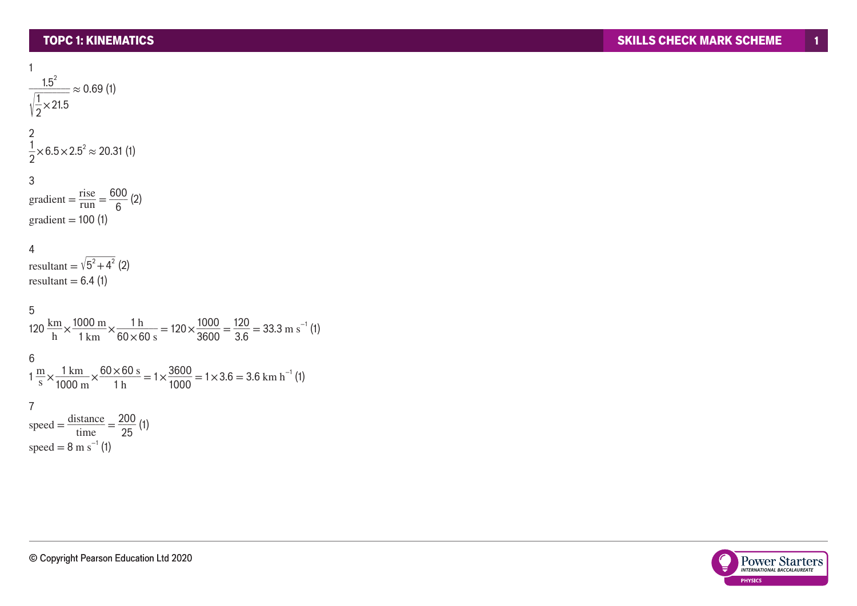1

1  $\frac{1.5^2}{2}$ √  $\frac{1.0}{1.0}$  $\frac{1}{2}$  × 21.5  $\approx 0.69$  (1) 2  $\frac{1}{2}$  × 6.5 × 2.5<sup>2</sup> ≈ 20.31 (1) 3 gradient  $=\frac{\text{rise}}{\text{run}}$  $\frac{\text{rise}}{\text{run}} = \frac{600}{6} (2)$ gradient = 100 (1) 4 gradient = 100 (1)<br>
4<br>
resultant =  $\sqrt{5^2 + 4^2}$  (2)  $resultant = 6.4 (1)$ 5  $120 \frac{\text{km}}{\text{h}} \times \frac{1000 \text{ m}}{1 \text{ km}}$  $\frac{100 \text{ m}}{1 \text{ km}} \times \frac{1 \text{ h}}{60 \times 60 \text{ s}}$  $\frac{1 \text{ h}}{60 \times 60 \text{ s}}$  = 120 $\times \frac{1000}{3600}$  $\frac{1000}{3600} = \frac{120}{3.6}$ 6  $1 \frac{\text{m}}{\text{s}} \times \frac{1 \text{ km}}{1000 \text{ m}}$  $\frac{1 \text{ km}}{1000 \text{ m}} \times \frac{60 \times 60 \text{ s}}{1 \text{ h}}$  $\frac{\times 60 \text{ s}}{1 \text{ h}}$  = 1 $\times \frac{3600}{1000}$  $\frac{3600}{1000} = 1 \times 3.6 = 3.6$  km h<sup>-1</sup> (1) 7 speed  $=\frac{\text{distance}}{\text{time}}$  $\frac{\text{stance}}{\text{time}} = \frac{200}{25}$  (1) speed =  $8 \text{ m s}^{-1}$  (1)

 $\frac{120}{3.6}$  = 33.3 m s<sup>-1</sup> (1)

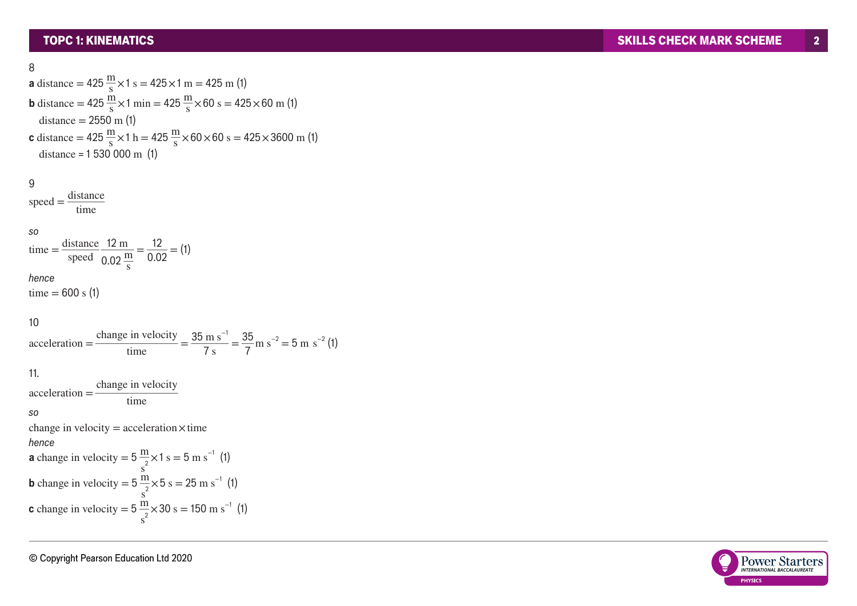$$
8 \\
$$

**a** distance = 
$$
425 \frac{m}{s} \times 1 s = 425 \times 1 m = 425 m
$$
 (1)  
\n**b** distance =  $425 \frac{m}{s} \times 1 min = 425 \frac{m}{s} \times 60 s = 425 \times 60 m$  (1)  
\ndistance =  $2550 m$  (1)  
\n**c** distance =  $425 \frac{m}{s} \times 1 h = 425 \frac{m}{s} \times 60 \times 60 s = 425 \times 3600 m$  (1)  
\ndistance =  $1 530 000 m$  (1)

9 speed =  $ce = 425$ <br> $ce = 153$ <br>distance<br>time distance time

so

time = 
$$
\frac{\text{distance}}{\text{speed}} \frac{12 \text{ m}}{0.02 \frac{\text{m}}{\text{s}}} = \frac{12}{0.02} = (1)
$$

hence

time = 600 s (1)

## 10

10  
acceleration = 
$$
\frac{\text{change in velocity}}{\text{time}}
$$
 =  $\frac{35 \text{ m s}^{-1}}{7 \text{ s}}$  =  $\frac{35}{7} \text{ m s}^{-2}$  = 5 m s<sup>-2</sup> (1)

11.

 $acceleration =$ change in velocity time s o change in velocity  $=$  acceleration $\times$  time hence **a** change in velocity =  $5 \frac{m}{s^2} \times 1 \text{ s} = 5 \text{ m s}^{-1}$  (1) **b** change in velocity =  $5 \frac{\text{m}}{\text{s}^2} \times 5 \text{ s} = 25 \text{ m s}^{-1}$  (1) **c** change in velocity =  $5 \frac{\text{m}}{\text{s}^2} \times 30 \text{ s} = 150 \text{ m s}^{-1}$  (1)